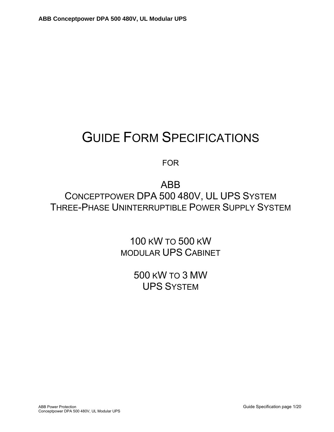# GUIDE FORM SPECIFICATIONS

FOR

ABB CONCEPTPOWER DPA 500 480V, UL UPS SYSTEM THREE-PHASE UNINTERRUPTIBLE POWER SUPPLY SYSTEM

> 100 KW TO 500 KW MODULAR UPS CABINET

> > 500 KW TO 3 MW UPS SYSTEM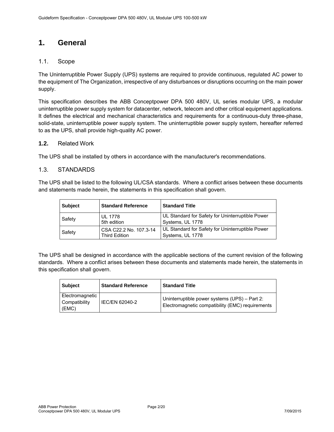# **1. General**

# 1.1. Scope

The Uninterruptible Power Supply (UPS) systems are required to provide continuous, regulated AC power to the equipment of The Organization, irrespective of any disturbances or disruptions occurring on the main power supply.

This specification describes the ABB Conceptpower DPA 500 480V, UL series modular UPS, a modular uninterruptible power supply system for datacenter, network, telecom and other critical equipment applications. It defines the electrical and mechanical characteristics and requirements for a continuous-duty three-phase, solid-state, uninterruptible power supply system. The uninterruptible power supply system, hereafter referred to as the UPS, shall provide high-quality AC power.

#### **1.2.** Related Work

The UPS shall be installed by others in accordance with the manufacturer's recommendations.

# 1.3. STANDARDS

The UPS shall be listed to the following UL/CSA standards. Where a conflict arises between these documents and statements made herein, the statements in this specification shall govern.

| <b>Subject</b> | <b>Standard Reference</b>                      | <b>Standard Title</b>                                                |  |  |
|----------------|------------------------------------------------|----------------------------------------------------------------------|--|--|
| Safety         | <b>UL 1778</b><br>5th edition                  | UL Standard for Safety for Uninterruptible Power<br>Systems, UL 1778 |  |  |
| Safety         | CSA C22.2 No. 107.3-14<br><b>Third Edition</b> | UL Standard for Safety for Uninterruptible Power<br>Systems, UL 1778 |  |  |

The UPS shall be designed in accordance with the applicable sections of the current revision of the following standards. Where a conflict arises between these documents and statements made herein, the statements in this specification shall govern.

| <b>Subject</b>                            | <b>Standard Reference</b> | <b>Standard Title</b>                                                                             |
|-------------------------------------------|---------------------------|---------------------------------------------------------------------------------------------------|
| Electromagnetic<br>Compatibility<br>(EMC) | IEC/EN 62040-2            | Uninterruptible power systems (UPS) - Part 2:<br>Electromagnetic compatibility (EMC) requirements |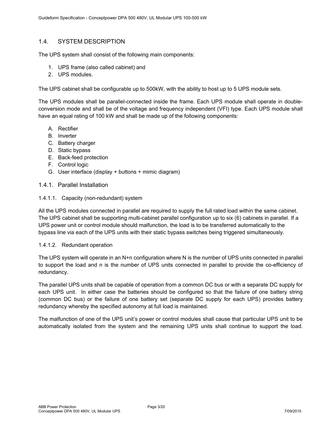# 1.4. SYSTEM DESCRIPTION

The UPS system shall consist of the following main components:

- 1. UPS frame (also called cabinet) and
- 2. UPS modules.

The UPS cabinet shall be configurable up to 500kW, with the ability to host up to 5 UPS module sets.

The UPS modules shall be parallel-connected inside the frame. Each UPS module shall operate in doubleconversion mode and shall be of the voltage and frequency independent (VFI) type. Each UPS module shall have an equal rating of 100 kW and shall be made up of the following components:

- A. Rectifier
- B. Inverter
- C. Battery charger
- D. Static bypass
- E. Back-feed protection
- F. Control logic
- G. User interface (display + buttons + mimic diagram)

#### 1.4.1. Parallel Installation

#### 1.4.1.1. Capacity (non-redundant) system

All the UPS modules connected in parallel are required to supply the full rated load within the same cabinet. The UPS cabinet shall be supporting multi-cabinet parallel configuration up to six (6) cabinets in parallel. If a UPS power unit or control module should malfunction, the load is to be transferred automatically to the bypass line via each of the UPS units with their static bypass switches being triggered simultaneously.

#### 1.4.1.2. Redundant operation

The UPS system will operate in an N+n configuration where N is the number of UPS units connected in parallel to support the load and n is the number of UPS units connected in parallel to provide the co-efficiency of redundancy.

The parallel UPS units shall be capable of operation from a common DC bus or with a separate DC supply for each UPS unit. In either case the batteries should be configured so that the failure of one battery string (common DC bus) or the failure of one battery set (separate DC supply for each UPS) provides battery redundancy whereby the specified autonomy at full load is maintained.

The malfunction of one of the UPS unit's power or control modules shall cause that particular UPS unit to be automatically isolated from the system and the remaining UPS units shall continue to support the load.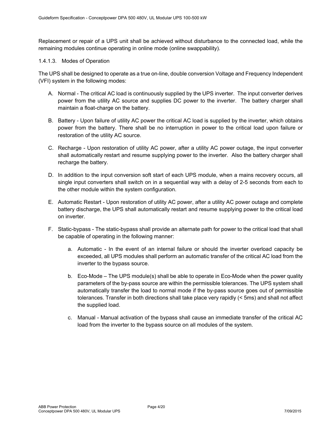Replacement or repair of a UPS unit shall be achieved without disturbance to the connected load, while the remaining modules continue operating in online mode (online swappability).

#### 1.4.1.3. Modes of Operation

The UPS shall be designed to operate as a true on-line, double conversion Voltage and Frequency Independent (VFI) system in the following modes:

- A. Normal The critical AC load is continuously supplied by the UPS inverter. The input converter derives power from the utility AC source and supplies DC power to the inverter. The battery charger shall maintain a float-charge on the battery.
- B. Battery Upon failure of utility AC power the critical AC load is supplied by the inverter, which obtains power from the battery. There shall be no interruption in power to the critical load upon failure or restoration of the utility AC source.
- C. Recharge Upon restoration of utility AC power, after a utility AC power outage, the input converter shall automatically restart and resume supplying power to the inverter. Also the battery charger shall recharge the battery.
- D. In addition to the input conversion soft start of each UPS module, when a mains recovery occurs, all single input converters shall switch on in a sequential way with a delay of 2-5 seconds from each to the other module within the system configuration.
- E. Automatic Restart Upon restoration of utility AC power, after a utility AC power outage and complete battery discharge, the UPS shall automatically restart and resume supplying power to the critical load on inverter.
- F. Static-bypass The static-bypass shall provide an alternate path for power to the critical load that shall be capable of operating in the following manner:
	- a. Automatic In the event of an internal failure or should the inverter overload capacity be exceeded, all UPS modules shall perform an automatic transfer of the critical AC load from the inverter to the bypass source.
	- b. Eco-Mode The UPS module(s) shall be able to operate in Eco-Mode when the power quality parameters of the by-pass source are within the permissible tolerances. The UPS system shall automatically transfer the load to normal mode if the by-pass source goes out of permissible tolerances. Transfer in both directions shall take place very rapidly (< 5ms) and shall not affect the supplied load.
	- c. Manual Manual activation of the bypass shall cause an immediate transfer of the critical AC load from the inverter to the bypass source on all modules of the system.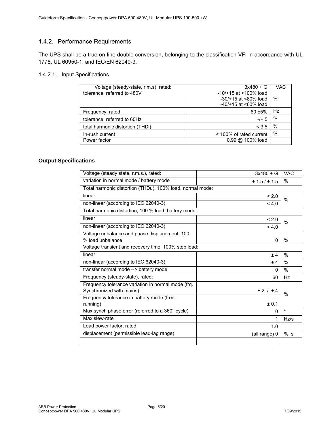# 1.4.2. Performance Requirements

The UPS shall be a true on-line double conversion, belonging to the classification VFI in accordance with UL 1778, UL 60950-1, and IEC/EN 62040-3.

#### 1.4.2.1. Input Specifications

| Voltage (steady-state, r.m.s), rated: | $3x480 + G$                  | <b>VAC</b> |
|---------------------------------------|------------------------------|------------|
| tolerance, referred to 480V           | $-10/+15$ at <100% load      |            |
|                                       | $-30/+15$ at $<80\%$ load    | %          |
|                                       | $-40/+15$ at <60% load       |            |
| Frequency, rated                      | $60 + 5%$                    | Hz         |
| tolerance, referred to 60Hz           | $-/- 5$                      | %          |
| total harmonic distortion (THDi)      | < 3.5                        | %          |
| In-rush current                       | < 100% of rated current      | %          |
| Power factor                          | $0.99 \text{ @ } 100\%$ load |            |

#### **Output Specifications**

| Voltage (steady state, r.m.s.), rated:<br>$3x480 + G$        | <b>VAC</b>    |  |  |  |
|--------------------------------------------------------------|---------------|--|--|--|
| variation in normal mode / battery mode<br>± 1.5 / ± 1.5     | $\%$          |  |  |  |
| Total harmonic distortion (THDu), 100% load, normal mode:    |               |  |  |  |
| linear<br>< 2.0                                              | $\%$          |  |  |  |
| non-linear (according to IEC 62040-3)<br>4.0                 |               |  |  |  |
| Total harmonic distortion, 100 % load, battery mode:         |               |  |  |  |
| linear<br>< 2.0                                              | $\%$          |  |  |  |
| non-linear (according to IEC 62040-3)<br>4.0                 |               |  |  |  |
| Voltage unbalance and phase displacement, 100                |               |  |  |  |
| % load unbalance<br>0                                        | $\%$          |  |  |  |
| Voltage transient and recovery time, 100% step load:         |               |  |  |  |
| linear<br>± 4                                                | $\%$          |  |  |  |
| non-linear (according to IEC 62040-3)<br>± 4                 | $\%$          |  |  |  |
| transfer normal mode --> battery mode<br>0                   | $\frac{0}{0}$ |  |  |  |
| Frequency (steady-state), rated:<br>60                       | Hz            |  |  |  |
| Frequency tolerance variation in normal mode (frq.           |               |  |  |  |
| Synchronized with mains)<br>± 2 / ± 4                        | $\%$          |  |  |  |
| Frequency tolerance in battery mode (free-                   |               |  |  |  |
| running)<br>± 0.1                                            |               |  |  |  |
| Max synch phase error (referred to a 360° cycle)<br>$\Omega$ | $\circ$       |  |  |  |
| Max slew-rate<br>1                                           | Hz/s          |  |  |  |
| Load power factor, rated<br>1.0                              |               |  |  |  |
| displacement (permissible lead-lag range)<br>(all range) 0   | $%$ , s       |  |  |  |
|                                                              |               |  |  |  |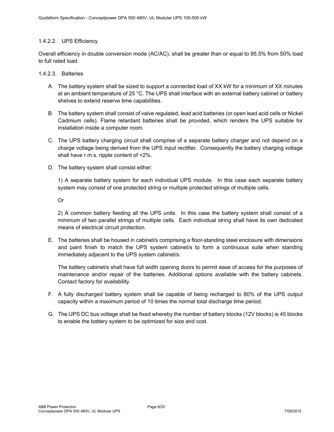# 1.4.2.2. UPS Efficiency

Overall efficiency in double conversion mode (AC/AC), shall be greater than or equal to 95.5% from 50% load to full rated load.

#### 1.4.2.3. Batteries

- A. The battery system shall be sized to support a connected load of XX kW for a minimum of XX minutes at an ambient temperature of 25 °C. The UPS shall interface with an external battery cabinet or battery shelves to extend reserve time capabilities.
- B. The battery system shall consist of valve regulated, lead acid batteries (or open lead acid cells or Nickel Cadmium cells). Flame retardant batteries shall be provided, which renders the UPS suitable for installation inside a computer room.
- C. The UPS battery charging circuit shall comprise of a separate battery charger and not depend on a charge voltage being derived from the UPS input rectifier. Consequently the battery charging voltage shall have r.m.s. ripple content of <2%.
- D. The battery system shall consist either:

1) A separate battery system for each individual UPS module. In this case each separate battery system may consist of one protected string or multiple protected strings of multiple cells.

Or

2) A common battery feeding all the UPS units. In this case the battery system shall consist of a minimum of two parallel strings of multiple cells. Each individual string shall have its own dedicated means of electrical circuit protection.

E. The batteries shall be housed in cabinet/s comprising a floor-standing steel enclosure with dimensions and paint finish to match the UPS system cabinet/s to form a continuous suite when standing immediately adjacent to the UPS system cabinet/s.

The battery cabinet/s shall have full width opening doors to permit ease of access for the purposes of maintenance and/or repair of the batteries. Additional options available with the battery cabinets. Contact factory for availability.

- F. A fully discharged battery system shall be capable of being recharged to 80% of the UPS output capacity within a maximum period of 10 times the normal total discharge time period.
- G. The UPS DC bus voltage shall be fixed whereby the number of battery blocks (12V blocks) is 45 blocks to enable the battery system to be optimized for size and cost.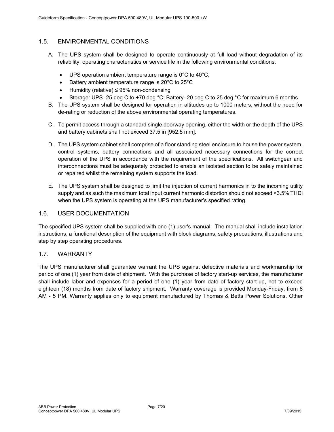# 1.5. ENVIRONMENTAL CONDITIONS

- A. The UPS system shall be designed to operate continuously at full load without degradation of its reliability, operating characteristics or service life in the following environmental conditions:
	- $\bullet$  UPS operation ambient temperature range is 0°C to 40°C,
	- $\bullet$  Battery ambient temperature range is 20 $\degree$ C to 25 $\degree$ C
	- Humidity (relative) ≤ 95% non-condensing
	- Storage: UPS -25 deg C to +70 deg °C; Battery -20 deg C to 25 deg °C for maximum 6 months
- B. The UPS system shall be designed for operation in altitudes up to 1000 meters, without the need for de-rating or reduction of the above environmental operating temperatures.
- C. To permit access through a standard single doorway opening, either the width or the depth of the UPS and battery cabinets shall not exceed 37.5 in [952.5 mm].
- D. The UPS system cabinet shall comprise of a floor standing steel enclosure to house the power system, control systems, battery connections and all associated necessary connections for the correct operation of the UPS in accordance with the requirement of the specifications. All switchgear and interconnections must be adequately protected to enable an isolated section to be safely maintained or repaired whilst the remaining system supports the load.
- E. The UPS system shall be designed to limit the injection of current harmonics in to the incoming utility supply and as such the maximum total input current harmonic distortion should not exceed <3.5% THDi when the UPS system is operating at the UPS manufacturer's specified rating.

# 1.6. USER DOCUMENTATION

The specified UPS system shall be supplied with one (1) user's manual. The manual shall include installation instructions, a functional description of the equipment with block diagrams, safety precautions, illustrations and step by step operating procedures.

# 1.7. WARRANTY

The UPS manufacturer shall guarantee warrant the UPS against defective materials and workmanship for period of one (1) year from date of shipment. With the purchase of factory start-up services, the manufacturer shall include labor and expenses for a period of one (1) year from date of factory start-up, not to exceed eighteen (18) months from date of factory shipment. Warranty coverage is provided Monday-Friday, from 8 AM - 5 PM. Warranty applies only to equipment manufactured by Thomas & Betts Power Solutions. Other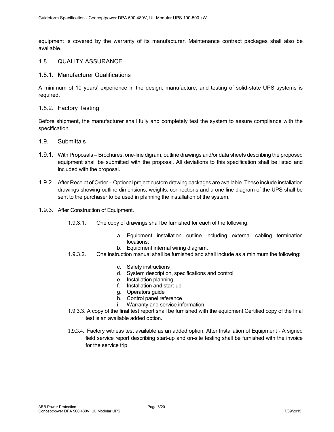equipment is covered by the warranty of its manufacturer. Maintenance contract packages shall also be available.

#### 1.8. QUALITY ASSURANCE

#### 1.8.1. Manufacturer Qualifications

A minimum of 10 years' experience in the design, manufacture, and testing of solid-state UPS systems is required.

#### 1.8.2. Factory Testing

Before shipment, the manufacturer shall fully and completely test the system to assure compliance with the specification.

- 1.9. Submittals
- 1.9.1. With Proposals Brochures, one-line digram, outline drawings and/or data sheets describing the proposed equipment shall be submitted with the proposal. All deviations to this specification shall be listed and included with the proposal.
- 1.9.2. After Receipt of Order Optional project custom drawing packages are available. These include installation drawings showing outline dimensions, weights, connections and a one-line diagram of the UPS shall be sent to the purchaser to be used in planning the installation of the system.
- 1.9.3. After Construction of Equipment.
	- 1.9.3.1. One copy of drawings shall be furnished for each of the following:
		- a. Equipment installation outline including external cabling termination locations.
		- b. Equipment internal wiring diagram.
	- 1.9.3.2. One instruction manual shall be furnished and shall include as a minimum the following:
		- c. Safety instructions
		- d. System description, specifications and control
		- e. Installation planning
		- f. Installation and start-up
		- g. Operators guide
		- h. Control panel reference
		- i. Warranty and service information
	- 1.9.3.3.A copy of the final test report shall be furnished with the equipment.Certified copy of the final test is an available added option.
	- 1.9.3.4. Factory witness test available as an added option. After Installation of Equipment A signed field service report describing start-up and on-site testing shall be furnished with the invoice for the service trip.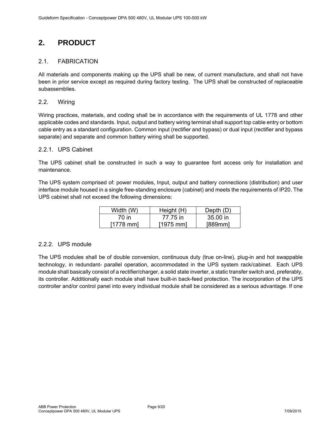# **2. PRODUCT**

# 2.1. FABRICATION

All materials and components making up the UPS shall be new, of current manufacture, and shall not have been in prior service except as required during factory testing. The UPS shall be constructed of replaceable subassemblies.

# 2.2. Wiring

Wiring practices, materials, and coding shall be in accordance with the requirements of UL 1778 and other applicable codes and standards. Input, output and battery wiring terminal shall support top cable entry or bottom cable entry as a standard configuration. Common input (rectifier and bypass) or dual input (rectifier and bypass separate) and separate and common battery wiring shall be supported.

# 2.2.1. UPS Cabinet

The UPS cabinet shall be constructed in such a way to guarantee font access only for installation and maintenance.

The UPS system comprised of: power modules, Input, output and battery connections (distribution) and user interface module housed in a single free-standing enclosure (cabinet) and meets the requirements of IP20. The UPS cabinet shall not exceed the following dimensions:

| Width (W)           | Height (H) | Depth $(D)$ |
|---------------------|------------|-------------|
| 70 in               | 77.75 in   | 35.00 in    |
| $[1778 \text{ mm}]$ | $[1975$ mm | [889mm]     |

# 2.2.2. UPS module

The UPS modules shall be of double conversion, continuous duty (true on-line), plug-in and hot swappable technology, in redundant- parallel operation, accommodated in the UPS system rack/cabinet. Each UPS module shall basically consist of a rectifier/charger, a solid state inverter, a static transfer switch and, preferably, its controller. Additionally each module shall have built-in back-feed protection. The incorporation of the UPS controller and/or control panel into every individual module shall be considered as a serious advantage. If one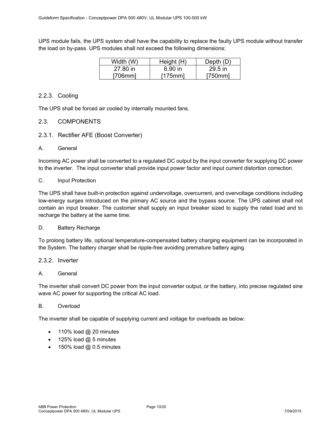UPS module fails, the UPS system shall have the capability to replace the faulty UPS module without transfer the load on by-pass. UPS modules shall not exceed the following dimensions:

| Width (W) | Height (H) | Depth $(D)$ |
|-----------|------------|-------------|
| 27.80 in  | 6.90 in    | $29.5$ in   |
| [706mm]   | [175mm]    | [750mm]     |

# 2.2.3. Cooling

The UPS shall be forced air cooled by internally mounted fans.

# 2.3. COMPONENTS

- 2.3.1. Rectifier AFE (Boost Converter)
- A. General

Incoming AC power shall be converted to a regulated DC output by the input converter for supplying DC power to the inverter. The input converter shall provide input power factor and input current distortion correction.

#### C. Input Protection

The UPS shall have built-in protection against undervoltage, overcurrent, and overvoltage conditions including low-energy surges introduced on the primary AC source and the bypass source. The UPS cabinet shall not contain an input breaker. The customer shall supply an input breaker sized to supply the rated load and to recharge the battery at the same time.

#### D. Battery Recharge

To prolong battery life, optional temperature-compensated battery charging equipment can be incorporated in the System. The battery charger shall be ripple-free avoiding premature battery aging.

#### 2.3.2. Inverter

#### A. General

The inverter shall convert DC power from the input converter output, or the battery, into precise regulated sine wave AC power for supporting the critical AC load.

#### B. Overload

The inverter shall be capable of supplying current and voltage for overloads as below:

- $\bullet$  110% load @ 20 minutes
- 125% load @ 5 minutes
- $\bullet$  150% load @ 0.5 minutes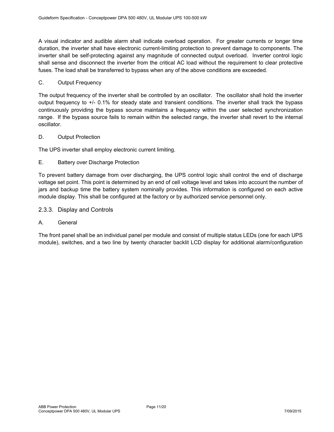A visual indicator and audible alarm shall indicate overload operation. For greater currents or longer time duration, the inverter shall have electronic current-limiting protection to prevent damage to components. The inverter shall be self-protecting against any magnitude of connected output overload. Inverter control logic shall sense and disconnect the inverter from the critical AC load without the requirement to clear protective fuses. The load shall be transferred to bypass when any of the above conditions are exceeded.

#### C. Output Frequency

The output frequency of the inverter shall be controlled by an oscillator. The oscillator shall hold the inverter output frequency to +/- 0.1% for steady state and transient conditions. The inverter shall track the bypass continuously providing the bypass source maintains a frequency within the user selected synchronization range. If the bypass source fails to remain within the selected range, the inverter shall revert to the internal oscillator.

#### D. Output Protection

The UPS inverter shall employ electronic current limiting.

#### E. Battery over Discharge Protection

To prevent battery damage from over discharging, the UPS control logic shall control the end of discharge voltage set point. This point is determined by an end of cell voltage level and takes into account the number of jars and backup time the battery system nominally provides. This information is configured on each active module display. This shall be configured at the factory or by authorized service personnel only.

### 2.3.3. Display and Controls

#### A. General

The front panel shall be an individual panel per module and consist of multiple status LEDs (one for each UPS module), switches, and a two line by twenty character backlit LCD display for additional alarm/configuration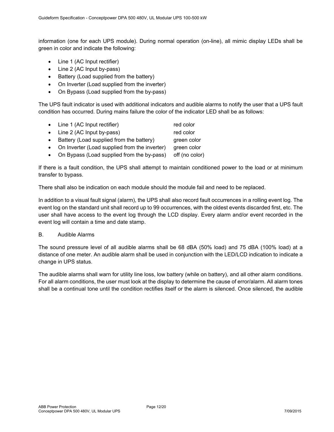information (one for each UPS module). During normal operation (on-line), all mimic display LEDs shall be green in color and indicate the following:

- Line 1 (AC Input rectifier)
- Line 2 (AC Input by-pass)
- Battery (Load supplied from the battery)
- On Inverter (Load supplied from the inverter)
- On Bypass (Load supplied from the by-pass)

The UPS fault indicator is used with additional indicators and audible alarms to notify the user that a UPS fault condition has occurred. During mains failure the color of the indicator LED shall be as follows:

- Line 1 (AC Input rectifier) red color • Line 2 (AC Input by-pass) red color • Battery (Load supplied from the battery) green color • On Inverter (Load supplied from the inverter) green color
- On Bypass (Load supplied from the by-pass) off (no color)

If there is a fault condition, the UPS shall attempt to maintain conditioned power to the load or at minimum transfer to bypass.

There shall also be indication on each module should the module fail and need to be replaced.

In addition to a visual fault signal (alarm), the UPS shall also record fault occurrences in a rolling event log. The event log on the standard unit shall record up to 99 occurrences, with the oldest events discarded first, etc. The user shall have access to the event log through the LCD display. Every alarm and/or event recorded in the event log will contain a time and date stamp.

#### B. Audible Alarms

The sound pressure level of all audible alarms shall be 68 dBA (50% load) and 75 dBA (100% load) at a distance of one meter. An audible alarm shall be used in conjunction with the LED/LCD indication to indicate a change in UPS status.

The audible alarms shall warn for utility line loss, low battery (while on battery), and all other alarm conditions. For all alarm conditions, the user must look at the display to determine the cause of error/alarm. All alarm tones shall be a continual tone until the condition rectifies itself or the alarm is silenced. Once silenced, the audible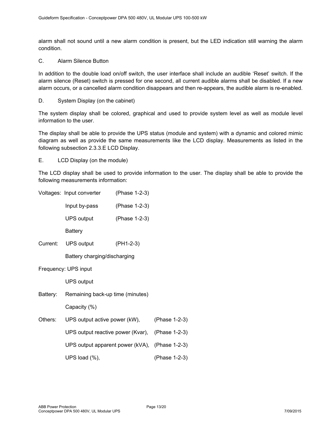alarm shall not sound until a new alarm condition is present, but the LED indication still warning the alarm condition.

C. Alarm Silence Button

In addition to the double load on/off switch, the user interface shall include an audible 'Reset' switch. If the alarm silence (Reset) switch is pressed for one second, all current audible alarms shall be disabled. If a new alarm occurs, or a cancelled alarm condition disappears and then re-appears, the audible alarm is re-enabled.

D. System Display (on the cabinet)

The system display shall be colored, graphical and used to provide system level as well as module level information to the user.

The display shall be able to provide the UPS status (module and system) with a dynamic and colored mimic diagram as well as provide the same measurements like the LCD display. Measurements as listed in the following subsection 2.3.3.E LCD Display.

E. LCD Display (on the module)

The LCD display shall be used to provide information to the user. The display shall be able to provide the following measurements information:

|                      | Voltages: Input converter                      | (Phase 1-2-3) |               |  |
|----------------------|------------------------------------------------|---------------|---------------|--|
|                      | Input by-pass                                  | (Phase 1-2-3) |               |  |
|                      | UPS output                                     | (Phase 1-2-3) |               |  |
|                      | <b>Battery</b>                                 |               |               |  |
|                      | Current: UPS output                            | $(PH1-2-3)$   |               |  |
|                      | Battery charging/discharging                   |               |               |  |
| Frequency: UPS input |                                                |               |               |  |
|                      | <b>UPS output</b>                              |               |               |  |
|                      | Battery: Remaining back-up time (minutes)      |               |               |  |
|                      | Capacity (%)                                   |               |               |  |
| Others:              | UPS output active power (kW),                  |               |               |  |
|                      | UPS output reactive power (Kvar),              | (Phase 1-2-3) |               |  |
|                      | UPS output apparent power (kVA), (Phase 1-2-3) |               |               |  |
|                      | UPS load (%),                                  |               | (Phase 1-2-3) |  |
|                      |                                                |               |               |  |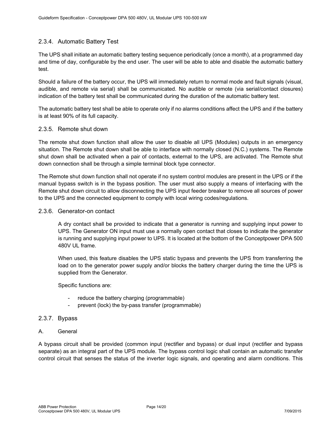# 2.3.4. Automatic Battery Test

The UPS shall initiate an automatic battery testing sequence periodically (once a month), at a programmed day and time of day, configurable by the end user. The user will be able to able and disable the automatic battery test.

Should a failure of the battery occur, the UPS will immediately return to normal mode and fault signals (visual, audible, and remote via serial) shall be communicated. No audible or remote (via serial/contact closures) indication of the battery test shall be communicated during the duration of the automatic battery test.

The automatic battery test shall be able to operate only if no alarms conditions affect the UPS and if the battery is at least 90% of its full capacity.

#### 2.3.5. Remote shut down

The remote shut down function shall allow the user to disable all UPS (Modules) outputs in an emergency situation. The Remote shut down shall be able to interface with normally closed (N.C.) systems. The Remote shut down shall be activated when a pair of contacts, external to the UPS, are activated. The Remote shut down connection shall be through a simple terminal block type connector.

The Remote shut down function shall not operate if no system control modules are present in the UPS or if the manual bypass switch is in the bypass position. The user must also supply a means of interfacing with the Remote shut down circuit to allow disconnecting the UPS input feeder breaker to remove all sources of power to the UPS and the connected equipment to comply with local wiring codes/regulations.

# 2.3.6. Generator-on contact

A dry contact shall be provided to indicate that a generator is running and supplying input power to UPS. The Generator ON input must use a normally open contact that closes to indicate the generator is running and supplying input power to UPS. It is located at the bottom of the Conceptpower DPA 500 480V UL frame.

When used, this feature disables the UPS static bypass and prevents the UPS from transferring the load on to the generator power supply and/or blocks the battery charger during the time the UPS is supplied from the Generator.

Specific functions are:

- reduce the battery charging (programmable)
	- prevent (lock) the by-pass transfer (programmable)

# 2.3.7. Bypass

A. General

A bypass circuit shall be provided (common input (rectifier and bypass) or dual input (rectifier and bypass separate) as an integral part of the UPS module. The bypass control logic shall contain an automatic transfer control circuit that senses the status of the inverter logic signals, and operating and alarm conditions. This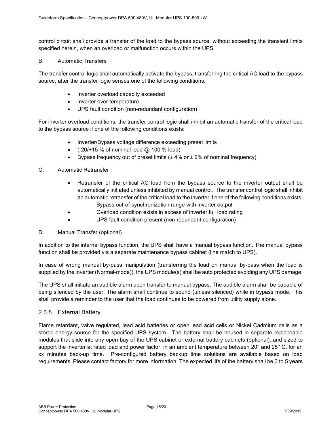control circuit shall provide a transfer of the load to the bypass source, without exceeding the transient limits specified herein, when an overload or malfunction occurs within the UPS.

#### B. Automatic Transfers

The transfer control logic shall automatically activate the bypass, transferring the critical AC load to the bypass source, after the transfer logic senses one of the following conditions:

- Inverter overload capacity exceeded
- Inverter over temperature
- UPS fault condition (non-redundant configuration)

For inverter overload conditions, the transfer control logic shall inhibit an automatic transfer of the critical load to the bypass source if one of the following conditions exists:

- Inverter/Bypass voltage difference exceeding preset limits
- $\bullet$  (-20/+15 % of nominal load @ 100 % load)
- Bypass frequency out of preset limits  $(\pm 4\% \text{ or } \pm 2\% \text{ of nominal frequency})$

#### C. Automatic Retransfer

- Retransfer of the critical AC load from the bypass source to the inverter output shall be automatically initiated unless inhibited by manual control. The transfer control logic shall inhibit an automatic retransfer of the critical load to the inverter if one of the following conditions exists: Bypass out-of-synchronization range with inverter output
	-
- Overload condition exists in excess of inverter full load rating
- UPS fault condition present (non-redundant configuration)

#### D. Manual Transfer (optional)

In addition to the internal bypass function, the UPS shall have a manual bypass function. The manual bypass function shall be provided via a separate maintenance bypass cabinet (line match to UPS).

In case of wrong manual by-pass manipulation (transferring the load on manual by-pass when the load is supplied by the inverter (Normal-mode)), the UPS module(s) shall be auto protected avoiding any UPS damage.

The UPS shall initiate an audible alarm upon transfer to manual bypass. The audible alarm shall be capable of being silenced by the user. The alarm shall continue to sound (unless silenced) while in bypass mode. This shall provide a reminder to the user that the load continues to be powered from utility supply alone.

#### 2.3.8. External Battery

Flame retardant, valve regulated, lead acid batteries or open lead acid cells or Nickel Cadmium cells as a stored-energy source for the specified UPS system. The battery shall be housed in separate replaceable modules that slide into any open bay of the UPS cabinet or external battery cabinets (optional), and sized to support the inverter at rated load and power factor, in an ambient temperature between 20° and 25° C, for an xx minutes back-up time. Pre-configured battery backup time solutions are available based on load requirements. Please contact factory for more information. The expected life of the battery shall be 3 to 5 years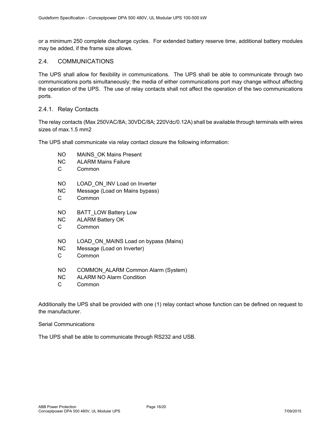or a minimum 250 complete discharge cycles. For extended battery reserve time, additional battery modules may be added, if the frame size allows.

### 2.4. COMMUNICATIONS

The UPS shall allow for flexibility in communications. The UPS shall be able to communicate through two communications ports simultaneously; the media of either communications port may change without affecting the operation of the UPS. The use of relay contacts shall not affect the operation of the two communications ports.

#### 2.4.1. Relay Contacts

The relay contacts (Max 250VAC/8A; 30VDC/8A; 220Vdc/0.12A) shall be available through terminals with wires sizes of max.1.5 mm2

The UPS shall communicate via relay contact closure the following information:

- NO MAINS OK Mains Present
- NC ALARM Mains Failure
- C Common
- NO LOAD ON INV Load on Inverter
- NC Message (Load on Mains bypass)
- C Common
- NO BATT\_LOW Battery Low
- NC ALARM Battery OK
- C Common
- NO LOAD ON MAINS Load on bypass (Mains)
- NC Message (Load on Inverter)
- C Common
- NO COMMON\_ALARM Common Alarm (System)
- NC ALARM NO Alarm Condition
- C Common

Additionally the UPS shall be provided with one (1) relay contact whose function can be defined on request to the manufacturer.

Serial Communications

The UPS shall be able to communicate through RS232 and USB.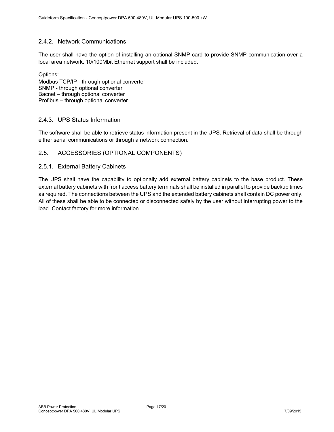# 2.4.2. Network Communications

The user shall have the option of installing an optional SNMP card to provide SNMP communication over a local area network. 10/100Mbit Ethernet support shall be included.

Options: Modbus TCP/IP - through optional converter SNMP - through optional converter Bacnet – through optional converter Profibus – through optional converter

# 2.4.3. UPS Status Information

The software shall be able to retrieve status information present in the UPS. Retrieval of data shall be through either serial communications or through a network connection.

# 2.5. ACCESSORIES (OPTIONAL COMPONENTS)

#### 2.5.1. External Battery Cabinets

The UPS shall have the capability to optionally add external battery cabinets to the base product. These external battery cabinets with front access battery terminals shall be installed in parallel to provide backup times as required. The connections between the UPS and the extended battery cabinets shall contain DC power only. All of these shall be able to be connected or disconnected safely by the user without interrupting power to the load. Contact factory for more information.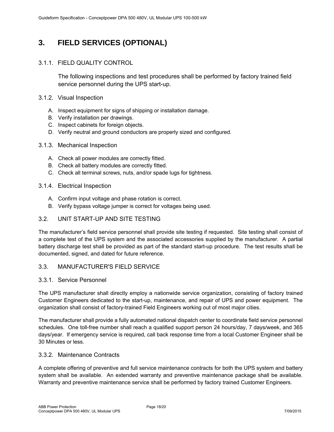# **3. FIELD SERVICES (OPTIONAL)**

# 3.1.1. FIELD QUALITY CONTROL

The following inspections and test procedures shall be performed by factory trained field service personnel during the UPS start-up.

### 3.1.2. Visual Inspection

- A. Inspect equipment for signs of shipping or installation damage.
- B. Verify installation per drawings.
- C. Inspect cabinets for foreign objects.
- D. Verify neutral and ground conductors are properly sized and configured.
- 3.1.3. Mechanical Inspection
	- A. Check all power modules are correctly fitted.
	- B. Check all battery modules are correctly fitted.
	- C. Check all terminal screws, nuts, and/or spade lugs for tightness.

#### 3.1.4. Electrical Inspection

- A. Confirm input voltage and phase rotation is correct.
- B. Verify bypass voltage jumper is correct for voltages being used.

# 3.2. UNIT START-UP AND SITE TESTING

The manufacturer's field service personnel shall provide site testing if requested. Site testing shall consist of a complete test of the UPS system and the associated accessories supplied by the manufacturer. A partial battery discharge test shall be provided as part of the standard start-up procedure. The test results shall be documented, signed, and dated for future reference.

# 3.3. MANUFACTURER'S FIELD SERVICE

# 3.3.1. Service Personnel

The UPS manufacturer shall directly employ a nationwide service organization, consisting of factory trained Customer Engineers dedicated to the start-up, maintenance, and repair of UPS and power equipment. The organization shall consist of factory-trained Field Engineers working out of most major cities.

The manufacturer shall provide a fully automated national dispatch center to coordinate field service personnel schedules. One toll-free number shall reach a qualified support person 24 hours/day, 7 days/week, and 365 days/year. If emergency service is required, call back response time from a local Customer Engineer shall be 30 Minutes or less.

# 3.3.2. Maintenance Contracts

A complete offering of preventive and full service maintenance contracts for both the UPS system and battery system shall be available. An extended warranty and preventive maintenance package shall be available. Warranty and preventive maintenance service shall be performed by factory trained Customer Engineers.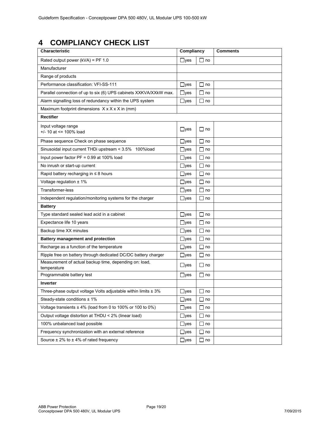# **4 COMPLIANCY CHECK LIST**

| Characteristic                                                        | Compliancy   |             | <b>Comments</b> |
|-----------------------------------------------------------------------|--------------|-------------|-----------------|
| Rated output power (kVA) = PF 1.0                                     | $\Box$ yes   | $\Box$ no   |                 |
| Manufacturer                                                          |              |             |                 |
| Range of products                                                     |              |             |                 |
| Performance classification: VFI-SS-111                                | $\Box$ yes   | $\Box$ no   |                 |
| Parallel connection of up to six (6) UPS cabinets XXKVA/XXkW max.     | $\Box$ yes   | l Ino       |                 |
| Alarm signalling loss of redundancy within the UPS system             | $\Box$ yes   | $\Box$ no   |                 |
| Maximum footprint dimensions $X \times X \times X$ in (mm)            |              |             |                 |
| <b>Rectifier</b>                                                      |              |             |                 |
| Input voltage range<br>$+/- 10$ at $\le$ 100% load                    | $\Box$ yes   | l Ino       |                 |
| Phase sequence Check on phase sequence                                | $\Box$ yes   | $\Box$ no   |                 |
| Sinusoidal input current THDi upstream < 3.5%<br>100%load             | $\Box$ yes   | Γl no       |                 |
| Input power factor PF = 0.99 at 100% load                             | $\Box$ yes   | $\Box$ no   |                 |
| No inrush or start-up current                                         | $\Box$ yes   | $\Box$ no   |                 |
| Rapid battery recharging in $\leq 8$ hours                            | $\Box$ yes   | $\Box$ no   |                 |
| Voltage regulation $± 1\%$                                            | $\Box$ yes   | $\Box$ no   |                 |
| Transformer-less                                                      | $\Box$ yes   | no<br>П     |                 |
| Independent regulation/monitoring systems for the charger             | $\sqcup$ yes | $\sqcup$ no |                 |
| <b>Battery</b>                                                        |              |             |                 |
| Type standard sealed lead acid in a cabinet                           | $\Box$ yes   | $\Box$ no   |                 |
| Expectance life 10 years                                              | $\Box$ yes   | $\Box$ no   |                 |
| Backup time XX minutes                                                | $\Box$ yes   | $\Box$ no   |                 |
| Battery management and protection                                     | $\Box$ yes   | $\Box$ no   |                 |
| Recharge as a function of the temperature                             | $\Box$ yes   | $\Box$ no   |                 |
| Ripple free on battery through dedicated DC/DC battery charger        | $\Box$ yes   | $\Box$ no   |                 |
| Measurement of actual backup time, depending on: load,<br>temperature | $\Box$ yes   | $\Box$ no   |                 |
| Programmable battery test                                             | $\Box$ yes   | $\Box$ no   |                 |
| <b>Inverter</b>                                                       |              |             |                 |
| Three-phase output voltage Volts adjustable within limits $\pm$ 3%    | $\Box$ yes   | $\Box$ no   |                 |
| Steady-state conditions $± 1\%$                                       | $\Box$ yes   | $\sqcup$ no |                 |
| Voltage transients $\pm$ 4% (load from 0 to 100% or 100 to 0%)        | $\Box$ yes   | $\sqcup$ no |                 |
| Output voltage distortion at THDU < 2% (linear load)                  | $\Box$ yes   | $\sqcup$ no |                 |
| 100% unbalanced load possible                                         | $\Box$ yes   | $\Box$ no   |                 |
| Frequency synchronization with an external reference                  | $\Box$ yes   | $\Box$ no   |                 |
| Source $\pm$ 2% to $\pm$ 4% of rated frequency                        | $\Box$ yes   | $\sqcup$ no |                 |